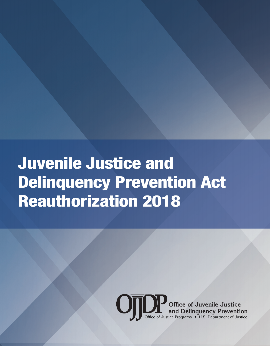Juvenile Justice and Delinquency Prevention Act Reauthorization 2018

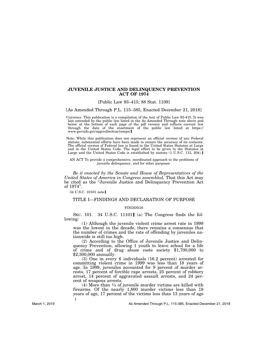# **JUVENILE JUSTICE AND DELINQUENCY PREVENTION ACT OF 1974**

[Public Law 93–415; 88 Stat. 1109]

[As Amended Through P.L. 115–385, Enacted December 21, 2018]

øCurrency: This publication is a compilation of the text of Public Law 93-415. It was last amended by the public law listed in the As Amended Through note above and below at the bottom of each page of the pdf version and reflects current law through the date of the enactment of the public law listed at https:// <www.govinfo.gov/app/collection/comps>/]

Note: While this publication does not represent an official version of any Federal statute, substantial efforts have been made to ensure the accuracy of its contents. The official version of Federal law is found in the United States Statutes at Large and in the United States Code. The legal effect to be given to the Statutes at Large and the United States Code is established by statute  $(1 \text{ U.S.C. } 112, 204)$ .

AN ACT To provide a comprehensive, coordinated approach to the problems of juvenile delinquency, and for other purposes.

*Be it enacted by the Senate and House of Representatives of the United States of America in Congress assembled,* That this Act may be cited as the ''Juvenile Justice and Delinquency Prevention Act of 1974''.

34 U.S.C. 10101 note]

## TITLE I—FINDINGS AND DECLARATION OF PURPOSE

## FINDINGS

SEC. 101. 34 U.S.C. 11101] (a) The Congress finds the following:

(1) Although the juvenile violent crime arrest rate in 1999 was the lowest in the decade, there remains a consensus that the number of crimes and the rate of offending by juveniles nationwide is still too high.

(2) According to the Office of Juvenile Justice and Delinquency Prevention, allowing 1 youth to leave school for a life of crime and of drug abuse costs society \$1,700,000 to \$2,300,000 annually.

(3) One in every 6 individuals (16.2 percent) arrested for committing violent crime in 1999 was less than 18 years of age. In 1999, juveniles accounted for 9 percent of murder arrests, 17 percent of forcible rape arrests, 25 percent of robbery arrest, 14 percent of aggravated assault arrests, and 24 per- cent of weapons arrests.

(4) More than  $\frac{1}{2}$  of juvenile murder victims are killed with firearms. Of the nearly 1,800 murder victims less than 18 years of age, 17 percent of the victims less than 13 years of age **1**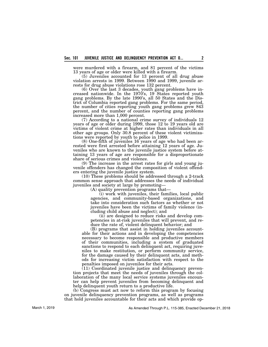were murdered with a firearm, and 81 percent of the victims 13 years of age or older were killed with a firearm.

(5) Juveniles accounted for 13 percent of all drug abuse violation arrests in 1999. Between 1990 and 1999, juvenile ar- rests for drug abuse violations rose 132 percent.

(6) Over the last 3 decades, youth gang problems have in-<br>creased nationwide. In the 1970's, 19 States reported youth<br>gang problems. By the late 1990's, all 50 States and the District of Columbia reported gang problems. For the same period, the number of cities reporting youth gang problems grew 843 percent, and the number of counties reporting gang problems increased more than 1,000 percent.

(7) According to a national crime survey of individuals 12 years of age or older during 1999, those 12 to 19 years old are victims of violent crime at higher rates than individuals in all other age groups. Only 30.8 percent of these violent victimiza- tions were reported by youth to police in 1999.

 $(8)$  One-fifth of juveniles  $16$  years of age who had been arrested were first arrested before attaining 12 years of age. Juveniles who are known to the juvenile justice system before attaining 13 years of age are respon share of serious crimes and violence.<br>(9) The increase in the arrest rates for girls and young ju-

(9) The increase increase increase increase increase increase increase increased the composition of violent offend-<br>ers entering the juvenile justice system.

(10) These problems should be addressed through a 2-track common sense approach that addresses the needs of individual juveniles and society at large by promoting—

(A) quality prevention programs that—

(i) work with juveniles, their families, local public agencies, and community-based organizations, and take into consideration such factors as whether or not juveniles have been the victims of family violence (including child abuse and neglect); and

(ii) are designed to reduce risks and develop competencies in at-risk juveniles that will prevent, and reduce the rate of, violent delinquent behavior; and

(B) programs that assist in holding juveniles accountable for their actions and in developing the competencies necessary to become responsible and productive members of their communities, including a system of graduated sanctions to respond to each delinquent act, requiring juveniles to make restitution, or perform community service, for the damage caused by their delinquent acts, and methods for increasing victim satisfaction with respect to the penalties imposed on juveniles for their acts.

(11) Coordinated juvenile justice and delinquency prevention projects that meet the needs of juveniles through the collaboration of the many local service systems juveniles encounter can help prevent juveniles from becoming delinquent and help delinquent youth return to a productive life.

(b) Congress must act now to reform this program by focusing on juvenile delinquency prevention programs, as well as programs that hold juveniles accountable for their acts and which provide op-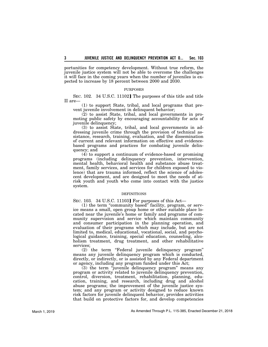portunities for competency development. Without true reform, the juvenile justice system will not be able to overcome the challenges it will face in the coming years when the number of juveniles is expected to increase by 18 percent between 2000 and 2030.

## PURPOSES

SEC. 102. 34 U.S.C. 11102] The purposes of this title and title II are—

(1) to support State, tribal, and local programs that prevent juvenile involvement in delinquent behavior;

(2) to assist State, tribal, and local governments in promoting public safety by encouraging accountability for acts of juvenile delinquency;

(3) to assist State, tribal, and local governments in addressing juvenile crime through the provision of technical assistance, research, training, evaluation, and the dissemination of current and relevant information on effective and evidencebased programs and practices for combating juvenile delinquency; and

(4) to support a continuum of evidence-based or promising programs (including delinquency prevention, intervention, mental health, behavioral health and substance abuse treatment, family services, and services for children exposed to violence) that are trauma informed, reflect the science of adolescent development, and are designed to meet the needs of atrisk youth and youth who come into contact with the justice system.

### DEFINITIONS

SEC. 103. 34 U.S.C. 11103] For purposes of this Act-

(1) the term ''community based'' facility, program, or service means a small, open group home or other suitable place located near the juvenile's home or family and programs of community supervision and service which maintain community and consumer participation in the planning operation, and evaluation of their programs which may include, but are not limited to, medical, educational, vocational, social, and psychological guidance, training, special education, counseling, alcoholism treatment, drug treatment, and other rehabilitative services;

(2) the term ''Federal juvenile delinquency program'' means any juvenile delinquency program which is conducted, directly, or indirectly, or is assisted by any Federal department or agency, including any program funded under this Act;

(3) the term ''juvenile delinquency program'' means any program or activity related to juvenile delinquency prevention, control, diversion, treatment, rehabilitation, planning, education, training, and research, including drug and alcohol abuse programs; the improvement of the juvenile justice system; and any program or activity designed to reduce known risk factors for juvenile delinquent behavior, provides activities that build on protective factors for, and develop competencies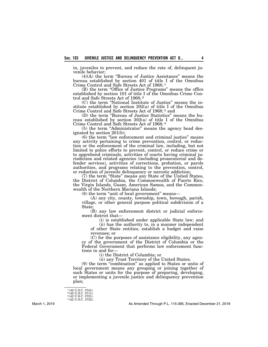in, juveniles to prevent, and reduce the rate of, delinquent ju- venile behavior;

(4)(A) the term ''Bureau of Justice Assistance'' means the bureau established by section 401 of title I of the Omnibus Crime Control and Safe Streets Act of 1968; 1

(B) the term ''Office of Justice Programs'' means the office established by section 101 of title I of the Omnibus Crime Control and Safe Streets Act of 1968; <sup>2</sup>

(C) the term "National Institute of Justice" means the institute established by section  $202(a)$  of title I of the Omnibus Crime Control and Safe Streets Act of 1968; 3 and

(D) the term ''Bureau of Justice Statistics'' means the bu- reau established by section 302(a) of title I of the Omnibus Crime Control and Safe Streets Act of 1968; 4

(5) the term "Administrator" means the agency head designated by section  $201(b)$ ;

(6) the term ''law enforcement and criminal justice'' means any activity pertaining to crime prevention, control, or reduc- tion or the enforcement of the criminal law, including, but not limited to police efforts to prevent, control, or reduce crime or to apprehend criminals, activities of courts having criminal jurisdiction and related agencies (including prosecutorial and de-<br>fender services), activities of corrections, probation, or parole authorities, and programs relating to the prevention, control, or reduction of juvenile delinquency or narcotic addiction;

(7) the term ''State'' means any State of the United States, the District of Columbia, the Commonwealth of Puerto Rico, the Virgin Islands, Guam, American Samoa, and the Commonwealth of the Northern Mariana Islands;

(8) the term "unit of local government" means-

(A) any city, county, township, town, borough, parish, village, or other general purpose political subdivision of a State;

(B) any law enforcement district or judicial enforcement district that—

(i) is established under applicable State law; and

(ii) has the authority to, in a manner independent of other State entities, establish a budget and raise revenues; or

(C) for the purposes of assistance eligibility, any agency of the government of the District of Columbia or the Federal Government that performs law enforcement functions in and for—

(i) the District of Columbia; or

(ii) any Trust Territory of the United States;

(9) the term ''combination'' as applied to States or units of local government means any grouping or joining together of such States or units for the purpose of preparing, developing, or implementing a juvenile justice and delinquency prevention plan;

<sup>1 (42</sup> U.S.C. 3741). 2 (42 U.S.C. 3711). 3 (42 U.S.C. 3721). 4 (42 U.S.C. 3732).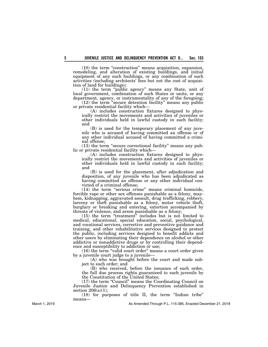(10) the term ''construction'' means acquisition, expansion, remodeling, and alteration of existing buildings, and initial equipment of any such buildings, or any combination of such activities (including architects' fees but not the cost of acquisi- tion of land for buildings);

(11) the term ''public agency'' means any State, unit of local government, combination of such States or units, or any department, agency, or instrumentality of any of the foregoing;

(12) the term ''secure detention facility'' means any public or private residential facility which—<br>(A) includes construction fixtures designed to phys-

ically restrict the movements and activities of juveniles or other individuals held in lawful custody in such facility; and<br>(B) is used for the temporary placement of any juve-

mile who is accused of having committed an offense or of any other individual accused of having committed a crimi- nal offense;

 $(13)$  the term "secure correctional facility" means any pub-<br>lic or private residential facility which—

(A) includes construction fixtures designed to phys- ically restrict the movements and activities of juveniles or other individuals held in lawful custody in such facility; and

(B) is used for the placement, after adjudication and disposition, of any juvenile who has been adjudicated as having committed an offense or any other individual convicted of a criminal offense;

(14) the term ''serious crime'' means criminal homicide, forcible rape or other sex offenses punishable as a felony, may- hem, kidnapping, aggravated assault, drug trafficking, robbery, larceny or theft punishable as a felony, motor vehicle theft, burglary or breaking and entering, extortion accompanied by threats of violence, and arson punishable as a felony;

 $(15)$  the term "treatment" includes but is not limited to medical, educational, special education, social, psychological, and vocational services, corrective and preventive guidance and training, and other rehabilitative services designed to protect the public, including services designed to benefit addicts and other users by eliminating their dependence on alcohol or other addictive or nonaddictive drugs or by controlling their dependence and susceptibility to addiction or use;

(16) the term "valid court order" means a court order given by a juvenile court judge to a juvenile—

(A) who was brought before the court and made subject to such order; and

(B) who received, before the issuance of such order, the full due process rights guaranteed to such juvenile by the Constitution of the United States;

(17) the term ''Council'' means the Coordinating Council on Juvenile Justice and Delinquency Prevention established in section  $206(a)(1)$ :

(18) for purposes of title II, the term ''Indian tribe'' means—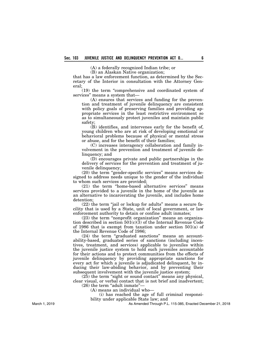(A) a federally recognized Indian tribe; or

(B) an Alaskan Native organization;

that has a law enforcement function, as determined by the Secretary of the Interior in consultation with the Attorney General;

(19) the term ''comprehensive and coordinated system of services'' means a system that—

(A) ensures that services and funding for the prevention and treatment of juvenile delinquency are consistent with policy goals of preserving families and providing appropriate services in the least restrictive environment so as to simultaneously protect juveniles and maintain public safety;

(B) identifies, and intervenes early for the benefit of, young children who are at risk of developing emotional or behavioral problems because of physical or mental stress or abuse, and for the benefit of their families;

(C) increases interagency collaboration and family involvement in the prevention and treatment of juvenile delinquency; and

(D) encourages private and public partnerships in the delivery of services for the prevention and treatment of juvenile delinquency;

(20) the term ''gender-specific services'' means services designed to address needs unique to the gender of the individual to whom such services are provided;

(21) the term ''home-based alternative services'' means services provided to a juvenile in the home of the juvenile as an alternative to incarcerating the juvenile, and includes home detention;

(22) the term ''jail or lockup for adults'' means a secure facility that is used by a State, unit of local government, or law enforcement authority to detain or confine adult inmates;

(23) the term ''nonprofit organization'' means an organization described in section  $501(c)(3)$  of the Internal Revenue Code of 1986 that is exempt from taxation under section 501(a) of the Internal Revenue Code of 1986;

(24) the term "graduated sanctions" means an accountability-based, graduated series of sanctions (including incentives, treatment, and services) applicable to juveniles within the juvenile justice system to hold such juveniles accountable for their actions and to protect communities from the effects of juvenile delinquency by providing appropriate sanctions for every act for which a juvenile is adjudicated delinquent, by inducing their law-abiding behavior, and by preventing their subsequent involvement with the juvenile justice system;

(25) the term ''sight or sound contact'' means any physical, clear visual, or verbal contact that is not brief and inadvertent;  $(26)$  the term "adult inmate"-

(A) means an individual who—

(i) has reached the age of full criminal responsi-

bility under applicable State law; and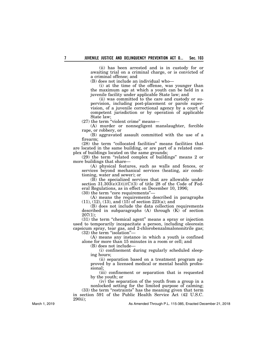(ii) has been arrested and is in custody for or awaiting trial on a criminal charge, or is convicted of a criminal offense; and

(B) does not include an individual who—

(i) at the time of the offense, was younger than the maximum age at which a youth can be held in a juvenile facility under applicable State law; and

(ii) was committed to the care and custody or supervision, including post-placement or parole supervision, of a juvenile correctional agency by a court of competent jurisdiction or by operation of applicable State law;

 $(27)$  the term "violent crime" means—

(A) murder or nonnegligent manslaughter, forcible rape, or robbery, or

(B) aggravated assault committed with the use of a firearm;

(28) the term ''collocated facilities'' means facilities that are located in the same building, or are part of a related complex of buildings located on the same grounds;

(29) the term ''related complex of buildings'' means 2 or more buildings that share—

(A) physical features, such as walls and fences, or services beyond mechanical services (heating, air conditioning, water and sewer); or

(B) the specialized services that are allowable under section  $31.30\overline{3}(e)(3)(i)(C)(3)$  of title 28 of the Code of Federal Regulations, as in effect on December 10, 1996;

 $(30)$  the term "core requirements" $-$ 

(A) means the requirements described in paragraphs  $(11), (12), (13),$  and  $(15)$  of section 223(a); and

(B) does not include the data collection requirements described in subparagraphs  $(A)$  through  $(K)$  of section 207(1);

(31) the term "chemical agent" means a spray or injection used to temporarily incapacitate a person, including oleoresin capsicum spray, tear gas, and 2-chlorobenzalmalononitrile gas;  $(32)$  the term "isolation"—

(A) means any instance in which a youth is confined alone for more than 15 minutes in a room or cell; and

(B) does not include—

(i) confinement during regularly scheduled sleeping hours;

(ii) separation based on a treatment program approved by a licensed medical or mental health professional;

(iii) confinement or separation that is requested by the youth; or

(iv) the separation of the youth from a group in a nonlocked setting for the limited purpose of calming; (33) the term "restraints" has the meaning given that term

in section 591 of the Public Health Service Act (42 U.S.C. 290ii);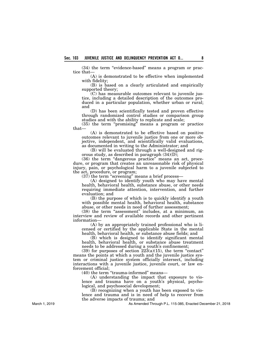$(34)$  the term "evidence-based" means a program or practice that—

(A) is demonstrated to be effective when implemented with fidelity;

(B) is based on a clearly articulated and empirically supported theory;<br>(C) has measurable outcomes relevant to juvenile jus-

tice, including a detailed description of the outcomes pro-<br>duced in a particular population, whether urban or rural; and

(D) has been scientifically tested and proven effective through randomized control studies or comparison group studies and with the ability to replicate and scale;

(35) the term ''promising'' means a program or practice that—

(A) is demonstrated to be effective based on positive outcomes relevant to juvenile justice from one or more ob- jective, independent, and scientifically valid evaluations, as documented in writing to the Administrator; and

(B) will be evaluated through a well-designed and rig-<br>orous study, as described in paragraph  $(34)(D)$ ;

(36) the term ''dangerous practice'' means an act, proce- dure, or program that creates an unreasonable risk of physical injury, pain, or psychological harm to a juvenile subjected to the act, procedure, or program;

 $(37)$  the term "screening" means a brief process—

(A) designed to identify youth who may have mental health, behavioral health, substance abuse, or other needs requiring immediate attention, intervention, and further evaluation; and

(B) the purpose of which is to quickly identify a youth with possible mental health, behavioral health, substance abuse, or other needs in need of further assessment;

(38) the term "assessment" includes, at a minimum, an interview and review of available records and other pertinent information—

(A) by an appropriately trained professional who is licensed or certified by the applicable State in the mental health, behavioral health, or substance abuse fields; and

(B) which is designed to identify significant mental health, behavioral health, or substance abuse treatment needs to be addressed during a youth's confinement;

 $(39)$  for purposes of section  $22\dot{3}(a)(15)$ , the term "contact" means the points at which a youth and the juvenile justice system or criminal justice system officially intersect, including interactions with a juvenile justice, juvenile court, or law enforcement official;

(40) the term ''trauma-informed'' means—

(A) understanding the impact that exposure to violence and trauma have on a youth's physical, psychological, and psychosocial development;

(B) recognizing when a youth has been exposed to violence and trauma and is in need of help to recover from the adverse impacts of trauma; and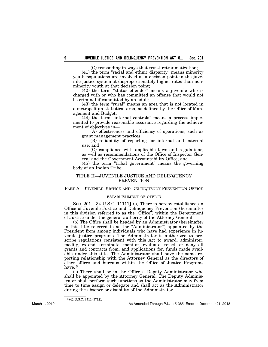(C) responding in ways that resist retraumatization;

(41) the term ''racial and ethnic disparity'' means minority youth populations are involved at a decision point in the juvenile justice system at disproportionately higher rates than nonminority youth at that decision point;

 $(42)$  the term "status offender" means a juvenile who is charged with or who has committed an offense that would not be criminal if committed by an adult;

(43) the term "rural" means an area that is not located in a metropolitan statistical area, as defined by the Office of Management and Budget;

(44) the term ''internal controls'' means a process implemented to provide reasonable assurance regarding the achievement of objectives in—

(A) effectiveness and efficiency of operations, such as grant management practices;

(B) reliability of reporting for internal and external use; and

(C) compliance with applicable laws and regulations, as well as recommendations of the Office of Inspector General and the Government Accountability Office; and

(45) the term "tribal government" means the governing body of an Indian Tribe.

# TITLE II—JUVENILE JUSTICE AND DELINQUENCY PREVENTION

## PART A—JUVENILE JUSTICE AND DELINQUENCY PREVENTION OFFICE

## ESTABLISHMENT OF OFFICE

SEC. 201. 34 U.S.C. 11111] (a) There is hereby established an Office of Juvenile Justice and Delinquency Prevention (hereinafter in this division referred to as the "Office") within the Department of Justice under the general authority of the Attorney General.

(b) The Office shall be headed by an Administrator (hereinafter in this title referred to as the ''Administrator'') appointed by the President from among individuals who have had experience in juvenile justice programs. The Administrator is authorized to prescribe regulations consistent with this Act to award, administer, modify, extend, terminate, monitor, evaluate, reject, or deny all grants and contracts from, and applications for, funds made available under this title. The Administrator shall have the same reporting relationship with the Attorney General as the directors of other offices and bureaus within the Office of Justice Programs have.<sup>5</sup>

(c) There shall be in the Office a Deputy Administrator who shall be appointed by the Attorney General. The Deputy Administrator shall perform such functions as the Administrator may from time to time assign or delegate and shall act as the Administrator during the absence or disability of the Administrator.

<sup>5 (42</sup> U.S.C. 3711–3712).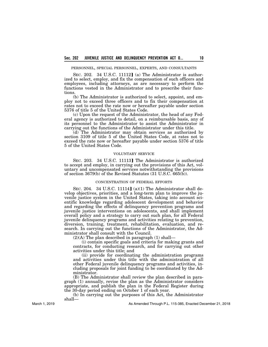PERSONNEL, SPECIAL PERSONNEL, EXPERTS, AND CONSULTANTS

SEC. 202. 34 U.S.C. 11112] (a) The Administrator is authorized to select, employ, and fix the compensation of such officers and employees, including attorneys, as are necessary to perform the functions vested in the Administrator and to prescribe their functions.

(b) The Administrator is authorized to select, appoint, and employ not to exceed three officers and to fix their compensation at rates not to exceed the rate now or hereafter payable under section 5376 of title 5 of the United States Code.

(c) Upon the request of the Administrator, the head of any Federal agency is authorized to detail, on a reimbursable basis, any of its personnel to the Administrator to assist the Administrator in carrying out the functions of the Administrator under this title.

(d) The Administrator may obtain services as authorized by section 3109 of title 5 of the United States Code, at rates not to exceed the rate now or hereafter payable under section 5376 of title 5 of the United States Code.

#### VOLUNTARY SERVICE

SEC. 203. 34 U.S.C. 11113] The Administrator is authorized to accept and employ, in carrying out the provisions of this Act, voluntary and uncompensated services notwithstanding the provisions of section 3679(b) of the Revised Statutes (31 U.S.C. 665(b)).

#### CONCENTRATION OF FEDERAL EFFORTS

SEC. 204. 34 U.S.C. 11114] (a)(1) The Administrator shall develop objectives, priorities, and a long-term plan to improve the juvenile justice system in the United States, taking into account scientific knowledge regarding adolescent development and behavior and regarding the effects of delinquency prevention programs and juvenile justice interventions on adolescents, and shall implement overall policy and a strategy to carry out such plan, for all Federal juvenile delinquency programs and activities relating to prevention, diversion, training, treatment, rehabilitation, evaluation, and research. In carrying out the functions of the Administrator, the Administrator shall consult with the Council.

 $(2)(A)$  The plan described in paragraph  $(1)$  shall—

(i) contain specific goals and criteria for making grants and contracts, for conducting research, and for carrying out other activities under this title; and

(ii) provide for coordinating the administration programs and activities under this title with the administration of all other Federal juvenile delinquency programs and activities, in- cluding proposals for joint funding to be coordinated by the Ad- ministrator.

(B) The Administrator shall review the plan described in paragraph (1) annually, revise the plan as the Administrator considers appropriate, and publish the plan in the Federal Register during the 30-day period ending on October 1 of each year.

(b) In carrying out the purposes of this Act, the Administrator shall—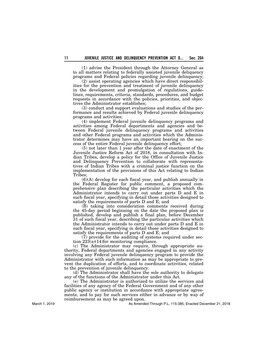(1) advise the President through the Attorney General as to all matters relating to federally assisted juvenile deliquency programs and Federal policies regarding juvenile delinquency;

(2) assist operating agencies which have direct responsibilities for the prevention and treatment of juvenile delinquency in the development and promulgation of regulations, guidelines, requirements, criteria, standards, procedures, and budget requests in accordance with the policies, priorities, and objectives the Administrator establishes;

(3) conduct and support evaluations and studies of the performance and results achieved by Federal juvenile delinquency programs and activities;

(4) implement Federal juvenile delinquency programs and activities among Federal departments and agencies and between Federal juvenile delinquency programs and activities and other Federal programs and activities which the Administrator determines may have an important bearing on the success of the entire Federal juvenile delinquency effort;

(5) not later than 1 year after the date of enactment of the Juvenile Justice Reform Act of 2018, in consultation with Indian Tribes, develop a policy for the Office of Juvenile Justice and Delinquency Prevention to collaborate with representatives of Indian Tribes with a criminal justice function on the implementation of the provisions of this Act relating to Indian Tribes;

(6)(A) develop for each fiscal year, and publish annually in the Federal Register for public comment, a proposed comprehensive plan describing the particular activities which the Administrator intends to carry out under parts D and E in such fiscal year, specifying in detail those activities designed to satisfy the requirements of parts D and E; and

(B) taking into consideration comments received during the 45-day period beginning on the date the proposed plan is published, develop and publish a final plan, before December 31 of such fiscal year, describing the particular activities which the Administrator intends to carry out under parts D and E in such fiscal year, specifying in detail those activities designed to satisfy the requirements of parts D and E; and

(7) provide for the auditing of systems required under section 223(a)(14)for monitoring compliance.

(c) The Administrator may require, through appropriate authority, Federal departments and agencies engaged in any activity involving any Federal juvenile delinquency program to provide the Administrator with such information as may be appropriate to prevent the duplication of efforts, and to coordinate activities, related to the prevention of juvenile delinquency.

(d) The Administrator shall have the sole authority to delegate any of the functions of the Administrator under this Act.

(e) The Administrator is authorized to utilize the services and facilities of any agency of the Federal Government and of any other public agency or institution in accordance with appropriate agreements, and to pay for such services either in advance or by way of reimbursement as may be agreed upon.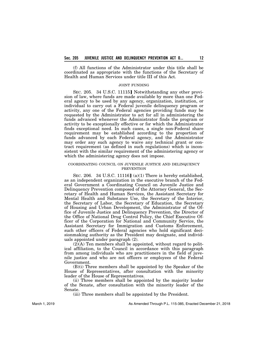(f) All functions of the Administrator under this title shall be coordinated as appropriate with the functions of the Secretary of Health and Human Services under title III of this Act.

#### JOINT FUNDING

SEC. 205. 34 U.S.C. 11115] Notwithstanding any other provision of law, where funds are made available by more than one Federal agency to be used by any agency, organization, institution, or individual to carry out a Federal juvenile delinquency program or activity, any one of the Federal agencies providing funds may be requested by the Administrator to act for all in administering the funds advanced whenever the Administrator finds the program or activity to be exceptionally effective or for which the Administrator finds exceptional need. In such cases, a single non-Federal share requirement may be established according to the proportion of funds advanced by each Federal agency, and the Administrator may order any such agency to waive any technical grant or contract requirement (as defined in such regulations) which is inconsistent with the similar requirement of the administering agency or which the administering agency does not impose.

### COORDINATING COUNCIL ON JUVENILE JUSTICE AND DELINQUENCY PREVENTION

SEC. 206. 34 U.S.C. 11116] (a)(1) There is hereby established, as an independent organization in the executive branch of the Federal Government a Coordinating Council on Juvenile Justice and Delinquency Prevention composed of the Attorney General, the Secretary of Health and Human Services, the Assistant Secretary for Mental Health and Substance Use, the Secretary of the Interior, the Secretary of Labor, the Secretary of Education, the Secretary of Housing and Urban Development, the Administrator of the Office of Juvenile Justice and Delinquency Prevention, the Director of the Office of National Drug Control Policy, the Chief Executive Officer of the Corporation for National and Community Service, the Assistant Secretary for Immigration and Customs Enforcement, such other officers of Federal agencies who hold significant decisionmaking authority as the President may designate, and individuals appointed under paragraph (2).

 $(2)$  $(\overline{A})$  Ten members shall be appointed, without regard to political affiliation, to the Council in accordance with this paragraph from among individuals who are practitioners in the field of juvenile justice and who are not officers or employees of the Federal Government.

(B)(i) Three members shall be appointed by the Speaker of the House of Representatives, after consultation with the minority leader of the House of Representatives.

(ii) Three members shall be appointed by the majority leader of the Senate, after consultation with the minority leader of the Senate.

(iii) Three members shall be appointed by the President.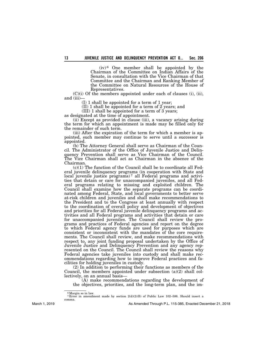$(iv)$ <sup>6</sup> One member shall be appointed by the Chairman of the Committee on Indian Affairs of the Senate, in consultation with the Vice Chairman of that Committee and the Chairman and Ranking Member of the Committee on Natural Resources of the House of Representatives.

(C)(i) Of the members appointed under each of clauses (i), (ii), and (iii)—

(I) 1 shall be appointed for a term of 1 year;

(II) 1 shall be appointed for a term of  $2$  years; and

(III) 1 shall be appointed for a term of 3 years;

as designated at the time of appointment.

(ii) Except as provided in clause (iii), a vacancy arising during the term for which an appointment is made may be filled only for the remainder of such term.<br>(iii) After the expiration of the term for which a member is ap-

pointed, such member may continue to serve until a successor is appointed.<br>(b) The Attorney General shall serve as Chairman of the Coun-

(b) The Attorney General shall serve as Chairman of the Council. The Administrator of the Office of Juvenile Justice and Delin-<br>quency Prevention shall serve as Vice Chairman of the Council. The Vice Chairman shall act as Chairman in the absence of the Chairman.

(c)(1) The function of the Council shall be to coordinate all Federal juvenile delinquency programs (in cooperation with State and local juvenile justice programs)<sup>7</sup> all Federal programs and activities that detain or care for unaccompanied juveniles, and all Federal programs relating to missing and exploited children. The Council shall examine how the separate programs can be coordi- nated among Federal, State, and local governments to better serve at-risk children and juveniles and shall make recommendations to the President and to the Congress at least annually with respect to the coordination of overall policy and development of objectives and priorities for all Federal juvenile delinquency programs and ac- tivities and all Federal programs and activities that detain or care for unaccompanied juveniles. The Council shall review the pro- grams and practices of Federal agencies and report on the degree to which Federal agency funds are used for purposes which are consistent or inconsistent with the mandates of the core require- ments. The Council shall review, and make recommendations with respect to, any joint funding proposal undertaken by the Office of Juvenile Justice and Delinquency Prevention and any agency rep- resented on the Council. The Council shall review the reasons why Federal agencies take juveniles into custody and shall make rec- ommendations regarding how to improve Federal practices and fa- cilities for holding juveniles in custody.

(2) In addition to performing their functions as members of the Council, the members appointed under subsection  $(a)(2)$  shall collectively, on an annual basis—

(A) make recommendations regarding the development of the objectives, priorities, and the long-term plan, and the im-

<sup>&</sup>lt;sup>6</sup> Margin so in law.

<sup>&</sup>lt;sup>7 Error</sup> in amendment made by section  $2(d)(2)(B)$  of Public Law 102–586. Should insert a comma.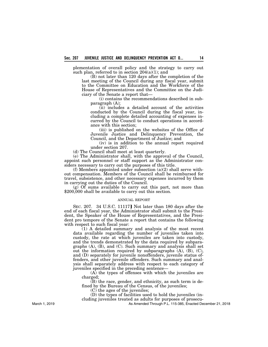plementation of overall policy and the strategy to carry out such plan, referred to in section  $204(a)(1)$ ; and

(B) not later than 120 days after the completion of the last meeting of the Council during any fiscal year, submit to the Committee on Education and the Workforce of the House of Representatives and the Committee on the Judiciary of the Senate a report that—

(i) contains the recommendations described in subparagraph (A);

(ii) includes a detailed account of the activities conducted by the Council during the fiscal year, including a complete detailed accounting of expenses incurred by the Council to conduct operations in accordance with this section;

(iii) is published on the websites of the Office of Juvenile Justice and Delinquency Prevention, the Council, and the Department of Justice; and

(iv) is in addition to the annual report required under section 207.

(d) The Council shall meet at least quarterly.

(e) The Administrator shall, with the approval of the Council, appoint such personnel or staff support as the Administrator considers necessary to carry out the purposes of this title.

(f) Members appointed under subsection  $(a)(2)$  shall serve without compensation. Members of the Council shall be reimbursed for travel, subsistence, and other necessary expenses incurred by them in carrying out the duties of the Council.

 $(g)$  Of sums available to carry out this part, not more than \$200,000 shall be available to carry out this section.

#### ANNUAL REPORT

SEC. 207. 34 U.S.C. 11117] Not later than 180 days after the end of each fiscal year, the Administrator shall submit to the President, the Speaker of the House of Representatives, and the President pro tempore of the Senate a report that contains the following with respect to such fiscal year:

(1) A detailed summary and analysis of the most recent data available regarding the number of juveniles taken into custody, the rate at which juveniles are taken into custody, and the trends demonstrated by the data required by subparagraphs (A), (B), and (C). Such summary and analysis shall set out the information required by subparagraphs (A), (B), (C), and (D) separately for juvenile nonoffenders, juvenile status offenders, and other juvenile offenders. Such summary and analysis shall separately address with respect to each category of juveniles specified in the preceding sentence—

(A) the types of offenses with which the juveniles are charged;

(B) the race, gender, and ethnicity, as such term is defined by the Bureau of the Census, of the juveniles;

(C) the ages of the juveniles;

(D) the types of facilities used to hold the juveniles (in-

cluding juveniles treated as adults for purposes of prosecu-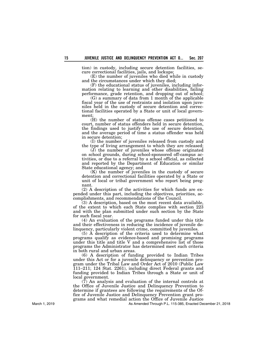tion) in custody, including secure detention facilities, se- cure correctional facilities, jails, and lockups;

(E) the number of juveniles who died while in custody and the circumstances under which they died;<br>(F) the educational status of juveniles, including infor-

mation relating to learning and other disabilities, failing performance, grade retention, and dropping out of school;

(G) a summary of data from 1 month of the applicable fiscal year of the use of restraints and isolation upon juve-<br>niles held in the custody of secure detention and correc-<br>tional facilities operated by a State or unit of local govern-<br>ment:

(H) the number of status offense cases petitioned to court, number of status offenders held in secure detention, the findings used to justify the use of secure detention, and the average period of time a status offender was held in secure detention;

(I) the number of juveniles released from custody and the type of living arrangement to which they are released;

(J) the number of juveniles whose offense originated on school grounds, during school-sponsored off-campus ac- tivities, or due to a referral by a school official, as collected and reported by the Department of Education or similar State educational agency; and

(K) the number of juveniles in the custody of secure detention and correctional facilities operated by a State or unit of local or tribal government who report being preg- nant.

(2) A description of the activities for which funds are ex- pended under this part, including the objectives, priorities, ac- complishments, and recommendations of the Council.

(3) A description, based on the most recent data available, of the extent to which each State complies with section 223 and with the plan submitted under such section by the State for such fiscal year.

(4) An evaluation of the programs funded under this title and their effectiveness in reducing the incidence of juvenile delinquency, particularly violent crime, committed by juveniles.

(5) A description of the criteria used to determine what programs qualify as evidence-based and promising programs under this title and title V and a comprehensive list of those programs the Administrator has determined meet such criteria in both rural and urban areas.

(6) A description of funding provided to Indian Tribes under this Act or for a juvenile delinquency or prevention program under the Tribal Law and Order Act of 2010 (Public Law 111–211; 124 Stat. 2261), including direct Federal grants and funding provided to Indian Tribes through a State or unit of local government.

(7) An analysis and evaluation of the internal controls at the Office of Juvenile Justice and Delinquency Prevention to determine if grantees are following the requirements of the Office of Juvenile Justice and Delinquency Prevention grant programs and what remedial action the Office of Juvenile Justice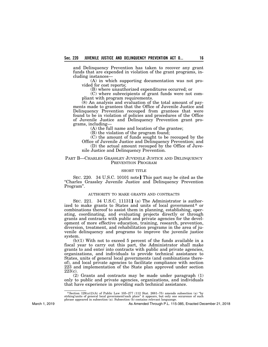and Delinquency Prevention has taken to recover any grant funds that are expended in violation of the grant programs, in- cluding instances—

(A) in which supporting documentation was not pro- vided for cost reports;

(B) where unauthorized expenditures occurred; or

(C) where subrecipients of grant funds were not com- pliant with program requirements.

(8) An analysis and evaluation of the total amount of pay- ments made to grantees that the Office of Juvenile Justice and Delinquency Prevention recouped from grantees that were found to be in violation of policies and procedures of the Office of Juvenile Justice and Delinquency Prevention grant pro-<br>grams, including—

(A) the full name and location of the grantee;

(B) the violation of the program found;

(C) the amount of funds sought to be recouped by the Office of Juvenile Justice and Delinquency Prevention; and

(D) the actual amount recouped by the Office of Juvenile Justice and Delinquency Prevention.

## PART B—CHARLES GRASSLEY JUVENILE JUSTICE AND DELINQUENCY PREVENTION PROGRAM

## SHORT TITLE

SEC. 220. 34 U.S.C. 10101 note] This part may be cited as the ''Charles Grassley Juvenile Justice and Delinquency Prevention Program''.

### AUTHORITY TO MAKE GRANTS AND CONTRACTS

SEC. 221. 34 U.S.C. 11131] (a) The Administrator is authorized to make grants to States and units of local government<sup>8</sup> or combinations thereof to assist them in planning, establishing, operating, coordinating, and evaluating projects directly or through grants and contracts with public and private agencies for the development of more effective education, training, research, prevention, diversion, treatment, and rehabilitation programs in the area of juvenile delinquency and programs to improve the juvenile justice system.

 $(b)(1)$  With not to exceed 5 percent of the funds available in a fiscal year to carry out this part, the Administrator shall make grants to and enter into contracts with public and private agencies, organizations, and individuals to provide technical assistance to States, units of general local governments (and combinations thereof), and local private agencies to facilitate compliance with section 223 and implementation of the State plan approved under section 223(c).

(2) Grants and contracts may be made under paragraph (1) only to public and private agencies, organizations, and individuals that have experience in providing such technical assistance.

 $8$  Section 129(a)(2)(A) of Public Law 105-277 (112 Stat. 2681-75) amends subsection (a) "by strking'units of general local government'each place" it appears, but only one occurence of such phrase appeared in subsection (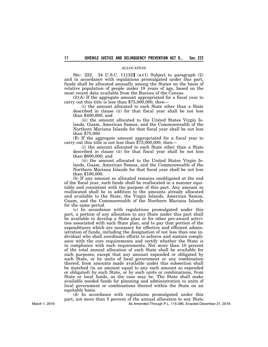### ALLOCATION

SEC. 222. 34 U.S.C. 11132] (a)(1) Subject to paragraph (2) and in accordance with regulations promulgated under this part, funds shall be allocated annually among the States on the basis of relative population of people under 18 years of age, based on the most recent data available from the Bureau of the Census.

(2)(A) If the aggregate amount appropriated for a fiscal year to carry out this title is less than \$75,000,000, then—

(i) the amount allocated to each State other than a State described in clause (ii) for that fiscal year shall be not less than \$400,000; and

(ii) the amount allocated to the United States Virgin Islands, Guam, American Samoa, and the Commonwealth of the Northern Mariana Islands for that fiscal year shall be not less than \$75,000.

(B) If the aggregate amount appropriated for a fiscal year to carry out this title is not less than \$75,000,000, then—

(i) the amount allocated to each State other than a State described in clause (ii) for that fiscal year shall be not less than \$600,000; and

(ii) the amount allocated to the United States Virgin Islands, Guam, American Samoa, and the Commonwealth of the Northern Mariana Islands for that fiscal year shall be not less than \$100,000.

(b) If any amount so allocated remains unobligated at the end of the fiscal year, such funds shall be reallocated in a manner equitable and consistent with the purpose of this part. Any amount so reallocated shall be in addition to the amounts already allocated and available to the State, the Virgin Islands, American Samoa, Guam, and the Commonwealth of the Northern Mariana Islands for the same period.

(c) In accordance with regulations promulgated under this part, a portion of any allocation to any State under this part shall be available to develop a State plan or for other pre-award activities associated with such State plan, and to pay that portion of the expenditures which are necessary for effective and efficient administration of funds, including the designation of not less than one individual who shall coordinate efforts to achieve and sustain compliance with the core requirements and certify whether the State is in compliance with such requirements. Not more than 10 percent of the total annual allocation of such State shall be available for such purposes, except that any amount expended or obligated by such State, or by units of local government or any combination thereof, from amounts made available under this subsection shall be matched (in an amount equal to any such amount so expended or obligated) by such State, or by such units or combinations, from State or local funds, as the case may be. The State shall make available needed funds for planning and administration to units of local government or combinations thereof within the State on an equitable basis.

(d) In accordance with regulations promulgated under this part, not more than 5 percent of the annual allocation to any State